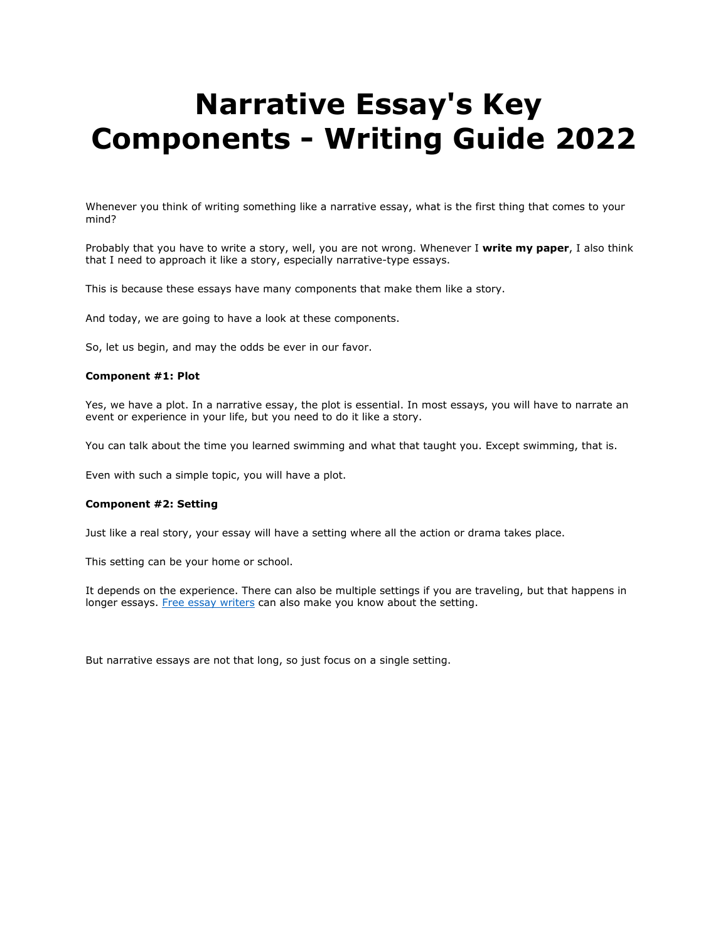# **Narrative Essay's Key Components - Writing Guide 2022**

Whenever you think of writing something like a narrative essay, what is the first thing that comes to your mind?

Probably that you have to write a story, well, you are not wrong. Whenever I **write my paper**, I also think that I need to approach it like a story, especially narrative-type essays.

This is because these essays have many components that make them like a story.

And today, we are going to have a look at these components.

So, let us begin, and may the odds be ever in our favor.

#### **Component #1: Plot**

Yes, we have a plot. In a narrative essay, the plot is essential. In most essays, you will have to narrate an event or experience in your life, but you need to do it like a story.

You can talk about the time you learned swimming and what that taught you. Except swimming, that is.

Even with such a simple topic, you will have a plot.

#### **Component #2: Setting**

Just like a real story, your essay will have a setting where all the action or drama takes place.

This setting can be your home or school.

It depends on the experience. There can also be multiple settings if you are traveling, but that happens in longer essays. [Free essay writers](https://essaywriternow.com/) can also make you know about the setting.

But narrative essays are not that long, so just focus on a single setting.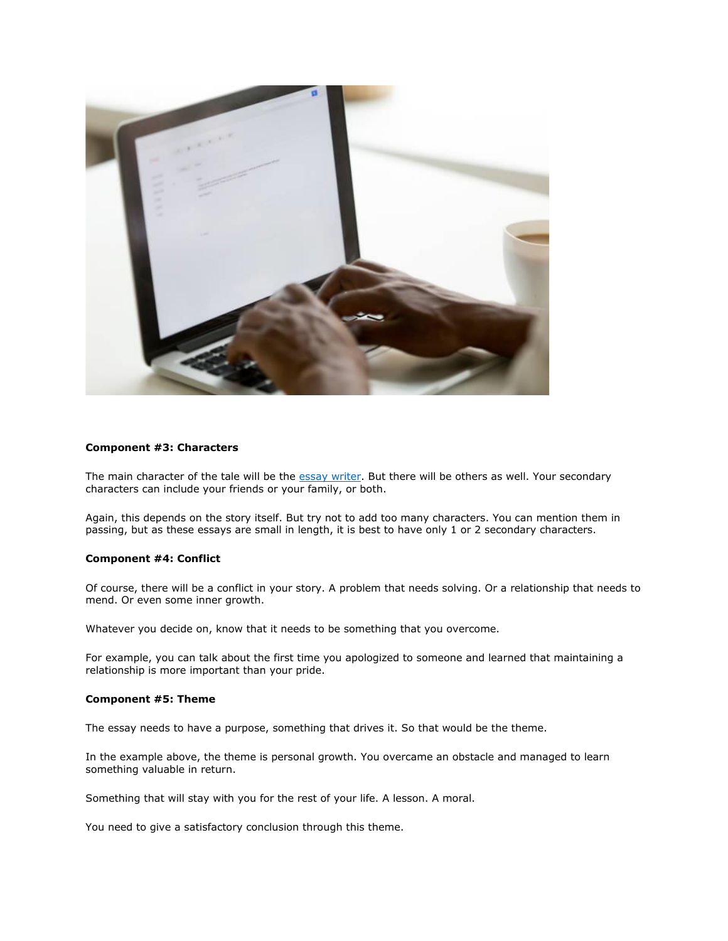

## **Component #3: Characters**

The main character of the tale will be the [essay writer.](https://essaywriternow.com/) But there will be others as well. Your secondary characters can include your friends or your family, or both.

Again, this depends on the story itself. But try not to add too many characters. You can mention them in passing, but as these essays are small in length, it is best to have only 1 or 2 secondary characters.

## **Component #4: Conflict**

Of course, there will be a conflict in your story. A problem that needs solving. Or a relationship that needs to mend. Or even some inner growth.

Whatever you decide on, know that it needs to be something that you overcome.

For example, you can talk about the first time you apologized to someone and learned that maintaining a relationship is more important than your pride.

#### **Component #5: Theme**

The essay needs to have a purpose, something that drives it. So that would be the theme.

In the example above, the theme is personal growth. You overcame an obstacle and managed to learn something valuable in return.

Something that will stay with you for the rest of your life. A lesson. A moral.

You need to give a satisfactory conclusion through this theme.